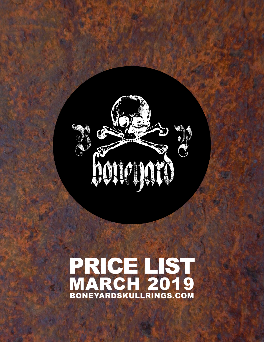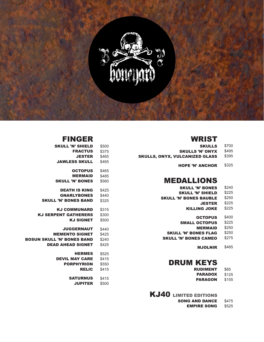

#### WRIST

| <b>SKULLS</b>                  | \$700 |
|--------------------------------|-------|
| <b>SKULLS 'N' ONYX</b>         | \$495 |
| SKULLS, ONYX, VULCANIZED GLASS | \$395 |
| <b>HOPE 'N' ANCHOR</b>         | \$325 |

### MEDALLIONS

| <b>SKULL 'N' BONES</b>        | \$240 |
|-------------------------------|-------|
| <b>SKULL 'N' SHIELD</b>       | \$225 |
| <b>SKULL 'N' BONES BAUBLE</b> | \$250 |
| <b>JESTER</b>                 | \$225 |
| <b>KILLING JOKE</b>           | \$225 |
|                               |       |

OCTOPUS \$400 **SMALL OCTOPUS** \$225 **MERMAID** \$250

- \$250 SKULL 'N' BONES CAMEO \$275 SKULL 'N' BONES FLAG
	- **MJOLNIR** \$465

#### DRUM KEYS

\$85 RUDIMENT

- **PARADOX** \$125
- PARAGON \$155

KJ40 LIMITED EDITIONS

- **SONG AND DANCE** \$475
	- **EMPIRE SONG \$525**

### FINGER

| <b>SKULL 'N' SHIELD</b>           | \$500 |
|-----------------------------------|-------|
| <b>FRACTUS</b>                    | \$375 |
| <b>JESTER</b>                     | \$465 |
| <b>JAWLESS SKULL</b>              | \$465 |
| <b>OCTOPUS</b>                    | \$465 |
| <b>MERMAID</b>                    | \$485 |
| <b>SKULL 'N' BONES</b>            | \$560 |
| <b>DEATH IS KING</b>              | \$425 |
| <b>GNARLYBONES</b>                | \$440 |
| <b>SKULL 'N' BONES BAND</b>       | \$325 |
| <b>KJ COMMUNARD</b>               | \$315 |
| <b>KJ SERPENT GATHERERS</b>       | \$300 |
| <b>KJ SIGNET</b>                  | \$500 |
| <b>JUGGERNAUT</b>                 | \$440 |
| <b>MEMENTO SIGNET</b>             | \$425 |
| <b>BOSUN SKULL 'N' BONES BAND</b> | \$240 |
| <b>DEAD AHEAD SIGNET</b>          | \$425 |
| <b>HERMES</b>                     | \$525 |
| <b>DEVIL MAY CARE</b>             | \$415 |
| <b>PORPHYRION</b>                 | \$550 |
| <b>RELIC</b>                      | \$415 |
| <b>SATURNUS</b>                   | \$415 |
| <b>JUPITER</b>                    | \$500 |